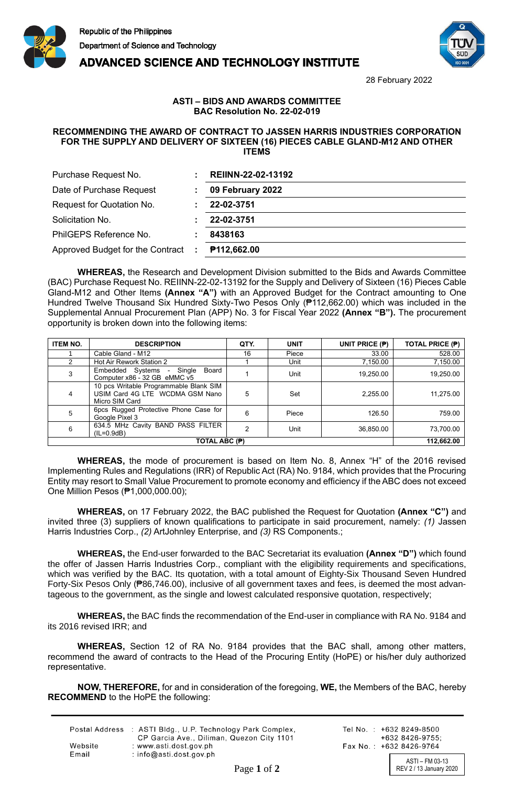

**ADVANCED SCIENCE AND TECHNOLOGY INSTITUTE** 



28 February 2022

## **ASTI – BIDS AND AWARDS COMMITTEE BAC Resolution No. 22-02-019**

## **RECOMMENDING THE AWARD OF CONTRACT TO JASSEN HARRIS INDUSTRIES CORPORATION FOR THE SUPPLY AND DELIVERY OF SIXTEEN (16) PIECES CABLE GLAND-M12 AND OTHER ITEMS**

| Purchase Request No.                    | REIINN-22-02-13192 |
|-----------------------------------------|--------------------|
| Date of Purchase Request                | 09 February 2022   |
| Request for Quotation No.               | 22-02-3751         |
| Solicitation No.                        | 22-02-3751         |
| PhilGEPS Reference No.                  | 8438163            |
| Approved Budget for the Contract<br>И., | P112,662.00        |

**WHEREAS,** the Research and Development Division submitted to the Bids and Awards Committee (BAC) Purchase Request No. REIINN-22-02-13192 for the Supply and Delivery of Sixteen (16) Pieces Cable Gland-M12 and Other Items **(Annex "A")** with an Approved Budget for the Contract amounting to One Hundred Twelve Thousand Six Hundred Sixty-Two Pesos Only (₱112,662.00) which was included in the Supplemental Annual Procurement Plan (APP) No. 3 for Fiscal Year 2022 **(Annex "B").** The procurement opportunity is broken down into the following items:

| <b>ITEM NO.</b> | <b>DESCRIPTION</b>                                                                          | QTY. | <b>UNIT</b> | UNIT PRICE $(P)$ | <b>TOTAL PRICE (P)</b> |
|-----------------|---------------------------------------------------------------------------------------------|------|-------------|------------------|------------------------|
|                 | Cable Gland - M12                                                                           | 16   | Piece       | 33.00            | 528.00                 |
| $\mathcal{P}$   | Hot Air Rework Station 2                                                                    |      | Unit        | 7,150.00         | 7,150.00               |
| 3               | Embedded Systems - Single<br>Board<br>Computer x86 - 32 GB eMMC v5                          |      | Unit        | 19,250.00        | 19,250.00              |
| 4               | 10 pcs Writable Programmable Blank SIM<br>USIM Card 4G LTE WCDMA GSM Nano<br>Micro SIM Card | 5    | Set         | 2,255.00         | 11,275.00              |
| 5               | 6pcs Rugged Protective Phone Case for<br>Google Pixel 3                                     | 6    | Piece       | 126.50           | 759.00                 |
| 6               | 634.5 MHz Cavity BAND PASS FILTER<br>$(IL=0.9dB)$                                           |      | Unit        | 36,850.00        | 73,700.00              |
| TOTAL ABC (P)   |                                                                                             |      |             | 112,662.00       |                        |

**WHEREAS,** the mode of procurement is based on Item No. 8, Annex "H" of the 2016 revised Implementing Rules and Regulations (IRR) of Republic Act (RA) No. 9184, which provides that the Procuring Entity may resort to Small Value Procurement to promote economy and efficiency if the ABC does not exceed One Million Pesos (₱1,000,000.00);

**WHEREAS,** on 17 February 2022, the BAC published the Request for Quotation **(Annex "C")** and invited three (3) suppliers of known qualifications to participate in said procurement, namely: *(1)* Jassen Harris Industries Corp., *(2)* ArtJohnley Enterprise, and *(3)* RS Components.;

**WHEREAS,** the End-user forwarded to the BAC Secretariat its evaluation **(Annex "D")** which found the offer of Jassen Harris Industries Corp., compliant with the eligibility requirements and specifications, which was verified by the BAC. Its quotation, with a total amount of Eighty-Six Thousand Seven Hundred Forty-Six Pesos Only (₱86,746.00), inclusive of all government taxes and fees, is deemed the most advantageous to the government, as the single and lowest calculated responsive quotation, respectively;

**WHEREAS,** the BAC finds the recommendation of the End-user in compliance with RA No. 9184 and its 2016 revised IRR; and

**WHEREAS,** Section 12 of RA No. 9184 provides that the BAC shall, among other matters, recommend the award of contracts to the Head of the Procuring Entity (HoPE) or his/her duly authorized representative.

**NOW, THEREFORE,** for and in consideration of the foregoing, **WE,** the Members of the BAC, hereby **RECOMMEND** to the HoPE the following:

|         | Postal Address : ASTI Bldg., U.P. Technology Park Complex,<br>CP Garcia Ave., Diliman, Quezon City 1101 |
|---------|---------------------------------------------------------------------------------------------------------|
| Website | : www.asti.dost.gov.ph                                                                                  |
| Email   | : info@asti.dost.gov.ph                                                                                 |

Tel No.: +632 8249-8500  $+6328426-9755$ Fax No.: +632 8426-9764

ASTI – FM 03-13 Page 1 of 2 REV 2 / 13 January 2020